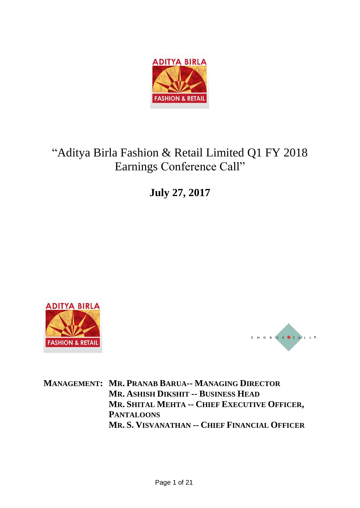

# "Aditya Birla Fashion & Retail Limited Q1 FY 2018 Earnings Conference Call"

**July 27, 2017**





**MANAGEMENT: MR. PRANAB BARUA-- MANAGING DIRECTOR MR. ASHISH DIKSHIT -- BUSINESS HEAD MR. SHITAL MEHTA -- CHIEF EXECUTIVE OFFICER, PANTALOONS MR. S. VISVANATHAN -- CHIEF FINANCIAL OFFICER**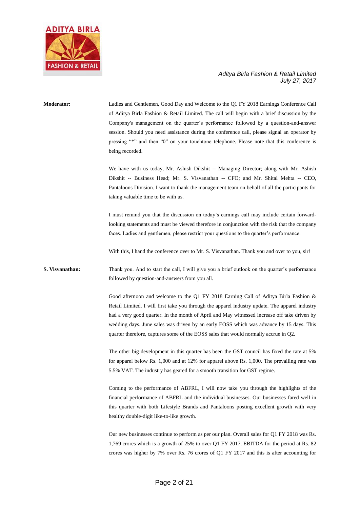

## **Moderator:** Ladies and Gentlemen, Good Day and Welcome to the Q1 FY 2018 Earnings Conference Call of Aditya Birla Fashion & Retail Limited. The call will begin with a brief discussion by the Company's management on the quarter's performance followed by a question-and-answer session. Should you need assistance during the conference call, please signal an operator by pressing "\*" and then "0" on your touchtone telephone. Please note that this conference is being recorded. We have with us today, Mr. Ashish Dikshit -- Managing Director; along with Mr. Ashish Dikshit -- Business Head; Mr. S. Visvanathan -- CFO; and Mr. Shital Mehta -- CEO, Pantaloons Division. I want to thank the management team on behalf of all the participants for taking valuable time to be with us. I must remind you that the discussion on today's earnings call may include certain forwardlooking statements and must be viewed therefore in conjunction with the risk that the company faces. Ladies and gentlemen, please restrict your questions to the quarter's performance. With this, I hand the conference over to Mr. S. Visvanathan. Thank you and over to you, sir! **S. Visvanathan:** Thank you. And to start the call, I will give you a brief outlook on the quarter's performance followed by question-and-answers from you all. Good afternoon and welcome to the Q1 FY 2018 Earning Call of Aditya Birla Fashion & Retail Limited. I will first take you through the apparel industry update. The apparel industry had a very good quarter. In the month of April and May witnessed increase off take driven by wedding days. June sales was driven by an early EOSS which was advance by 15 days. This quarter therefore, captures some of the EOSS sales that would normally accrue in Q2. The other big development in this quarter has been the GST council has fixed the rate at 5% for apparel below Rs. 1,000 and at 12% for apparel above Rs. 1,000. The prevailing rate was 5.5% VAT. The industry has geared for a smooth transition for GST regime. Coming to the performance of ABFRL, I will now take you through the highlights of the financial performance of ABFRL and the individual businesses. Our businesses fared well in this quarter with both Lifestyle Brands and Pantaloons posting excellent growth with very healthy double-digit like-to-like growth. Our new businesses continue to perform as per our plan. Overall sales for Q1 FY 2018 was Rs.

1,769 crores which is a growth of 25% to over Q1 FY 2017. EBITDA for the period at Rs. 82 crores was higher by 7% over Rs. 76 crores of Q1 FY 2017 and this is after accounting for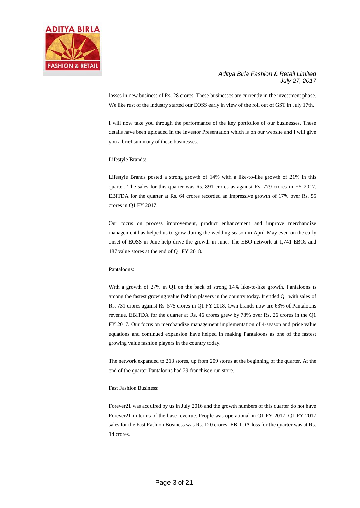

losses in new business of Rs. 28 crores. These businesses are currently in the investment phase. We like rest of the industry started our EOSS early in view of the roll out of GST in July 17th.

I will now take you through the performance of the key portfolios of our businesses. These details have been uploaded in the Investor Presentation which is on our website and I will give you a brief summary of these businesses.

Lifestyle Brands:

Lifestyle Brands posted a strong growth of 14% with a like-to-like growth of 21% in this quarter. The sales for this quarter was Rs. 891 crores as against Rs. 779 crores in FY 2017. EBITDA for the quarter at Rs. 64 crores recorded an impressive growth of 17% over Rs. 55 crores in Q1 FY 2017.

Our focus on process improvement, product enhancement and improve merchandize management has helped us to grow during the wedding season in April-May even on the early onset of EOSS in June help drive the growth in June. The EBO network at 1,741 EBOs and 187 value stores at the end of Q1 FY 2018.

#### Pantaloons:

With a growth of 27% in Q1 on the back of strong 14% like-to-like growth, Pantaloons is among the fastest growing value fashion players in the country today. It ended Q1 with sales of Rs. 731 crores against Rs. 575 crores in Q1 FY 2018. Own brands now are 63% of Pantaloons revenue. EBITDA for the quarter at Rs. 46 crores grew by 78% over Rs. 26 crores in the Q1 FY 2017. Our focus on merchandize management implementation of 4-season and price value equations and continued expansion have helped in making Pantaloons as one of the fastest growing value fashion players in the country today.

The network expanded to 213 stores, up from 209 stores at the beginning of the quarter. At the end of the quarter Pantaloons had 29 franchisee run store.

#### Fast Fashion Business:

Forever21 was acquired by us in July 2016 and the growth numbers of this quarter do not have Forever21 in terms of the base revenue. People was operational in Q1 FY 2017. Q1 FY 2017 sales for the Fast Fashion Business was Rs. 120 crores; EBITDA loss for the quarter was at Rs. 14 crores.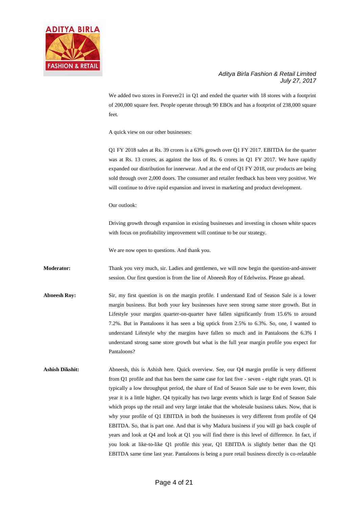

We added two stores in Forever21 in Q1 and ended the quarter with 18 stores with a footprint of 200,000 square feet. People operate through 90 EBOs and has a footprint of 238,000 square feet.

A quick view on our other businesses:

Q1 FY 2018 sales at Rs. 39 crores is a 63% growth over Q1 FY 2017. EBITDA for the quarter was at Rs. 13 crores, as against the loss of Rs. 6 crores in Q1 FY 2017. We have rapidly expanded our distribution for innerwear. And at the end of Q1 FY 2018, our products are being sold through over 2,000 doors. The consumer and retailer feedback has been very positive. We will continue to drive rapid expansion and invest in marketing and product development.

Our outlook:

Driving growth through expansion in existing businesses and investing in chosen white spaces with focus on profitability improvement will continue to be our strategy.

We are now open to questions. And thank you.

**Moderator:** Thank you very much, sir. Ladies and gentlemen, we will now begin the question-and-answer session. Our first question is from the line of Abneesh Roy of Edelweiss. Please go ahead.

- **Abneesh Roy:** Sir, my first question is on the margin profile. I understand End of Season Sale is a lower margin business. But both your key businesses have seen strong same store growth. But in Lifestyle your margins quarter-on-quarter have fallen significantly from 15.6% to around 7.2%. But in Pantaloons it has seen a big uptick from 2.5% to 6.3%. So, one, I wanted to understand Lifestyle why the margins have fallen so much and in Pantaloons the 6.3% I understand strong same store growth but what is the full year margin profile you expect for Pantaloons?
- **Ashish Dikshit:** Abneesh, this is Ashish here. Quick overview. See, our Q4 margin profile is very different from Q1 profile and that has been the same case for last five - seven - eight right years. Q1 is typically a low throughput period, the share of End of Season Sale use to be even lower, this year it is a little higher. Q4 typically has two large events which is large End of Season Sale which props up the retail and very large intake that the wholesale business takes. Now, that is why your profile of Q1 EBITDA in both the businesses is very different from profile of Q4 EBITDA. So, that is part one. And that is why Madura business if you will go back couple of years and look at Q4 and look at Q1 you will find there is this level of difference. In fact, if you look at like-to-like Q1 profile this year, Q1 EBITDA is slightly better than the Q1 EBITDA same time last year. Pantaloons is being a pure retail business directly is co-relatable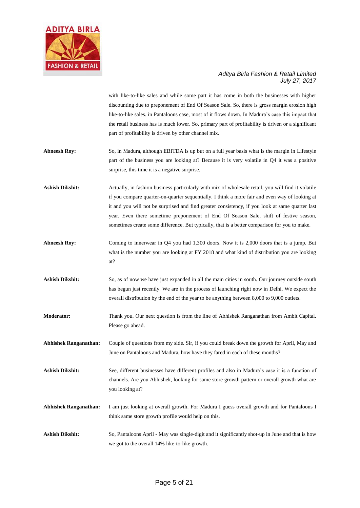

with like-to-like sales and while some part it has come in both the businesses with higher discounting due to preponement of End Of Season Sale. So, there is gross margin erosion high like-to-like sales. in Pantaloons case, most of it flows down. In Madura's case this impact that the retail business has is much lower. So, primary part of profitability is driven or a significant part of profitability is driven by other channel mix.

- **Abneesh Roy:** So, in Madura, although EBITDA is up but on a full year basis what is the margin in Lifestyle part of the business you are looking at? Because it is very volatile in Q4 it was a positive surprise, this time it is a negative surprise.
- **Ashish Dikshit:** Actually, in fashion business particularly with mix of wholesale retail, you will find it volatile if you compare quarter-on-quarter sequentially. I think a more fair and even way of looking at it and you will not be surprised and find greater consistency, if you look at same quarter last year. Even there sometime preponement of End Of Season Sale, shift of festive season, sometimes create some difference. But typically, that is a better comparison for you to make.
- **Abneesh Roy:** Coming to innerwear in Q4 you had 1,300 doors. Now it is 2,000 doors that is a jump. But what is the number you are looking at FY 2018 and what kind of distribution you are looking at?
- Ashish Dikshit: So, as of now we have just expanded in all the main cities in south. Our journey outside south has begun just recently. We are in the process of launching right now in Delhi. We expect the overall distribution by the end of the year to be anything between 8,000 to 9,000 outlets.
- **Moderator:** Thank you. Our next question is from the line of Abhishek Ranganathan from Ambit Capital. Please go ahead.
- **Abhishek Ranganathan:** Couple of questions from my side. Sir, if you could break down the growth for April, May and June on Pantaloons and Madura, how have they fared in each of these months?
- **Ashish Dikshit:** See, different businesses have different profiles and also in Madura's case it is a function of channels. Are you Abhishek, looking for same store growth pattern or overall growth what are you looking at?
- **Abhishek Ranganathan:** I am just looking at overall growth. For Madura I guess overall growth and for Pantaloons I think same store growth profile would help on this.
- **Ashish Dikshit:** So, Pantaloons April May was single-digit and it significantly shot-up in June and that is how we got to the overall 14% like-to-like growth.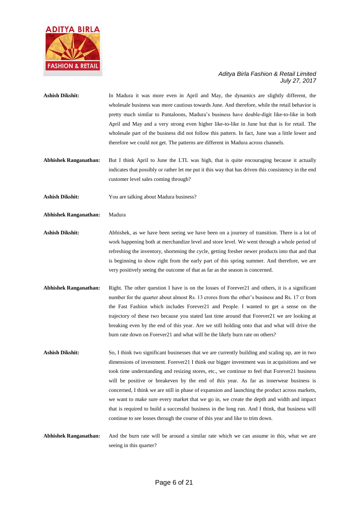

- Ashish Dikshit: In Madura it was more even in April and May, the dynamics are slightly different, the wholesale business was more cautious towards June. And therefore, while the retail behavior is pretty much similar to Pantaloons, Madura's business have double-digit like-to-like in both April and May and a very strong even higher like-to-like in June but that is for retail. The wholesale part of the business did not follow this pattern. In fact, June was a little lower and therefore we could not get. The patterns are different in Madura across channels.
- **Abhishek Ranganathan:** But I think April to June the LTL was high, that is quite encouraging because it actually indicates that possibly or rather let me put it this way that has driven this consistency in the end customer level sales coming through?
- **Ashish Dikshit:** You are talking about Madura business?
- **Abhishek Ranganathan:** Madura
- **Ashish Dikshit:** Abhishek, as we have been seeing we have been on a journey of transition. There is a lot of work happening both at merchandize level and store level. We went through a whole period of refreshing the inventory, shortening the cycle, getting fresher newer products into that and that is beginning to show right from the early part of this spring summer. And therefore, we are very positively seeing the outcome of that as far as the season is concerned.
- **Abhishek Ranganathan:** Right. The other question I have is on the losses of Forever21 and others, it is a significant number for the quarter about almost Rs. 13 crores from the other's business and Rs. 17 cr from the Fast Fashion which includes Forever21 and People. I wanted to get a sense on the trajectory of these two because you stated last time around that Forever21 we are looking at breaking even by the end of this year. Are we still holding onto that and what will drive the burn rate down on Forever21 and what will be the likely burn rate on others?
- Ashish Dikshit: So, I think two significant businesses that we are currently building and scaling up, are in two dimensions of investment. Forever21 I think our bigger investment was in acquisitions and we took time understanding and resizing stores, etc., we continue to feel that Forever21 business will be positive or breakeven by the end of this year. As far as innerwear business is concerned, I think we are still in phase of expansion and launching the product across markets, we want to make sure every market that we go in, we create the depth and width and impact that is required to build a successful business in the long run. And I think, that business will continue to see losses through the course of this year and like to trim down.
- **Abhishek Ranganathan:** And the burn rate will be around a similar rate which we can assume in this, what we are seeing in this quarter?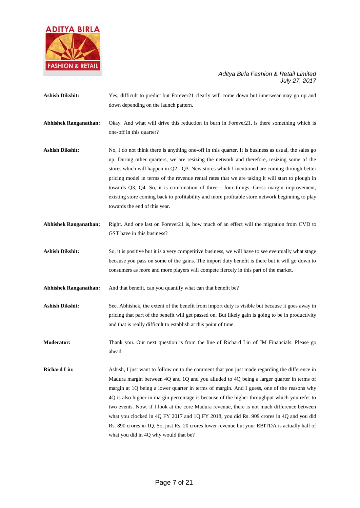

**Ashish Dikshit:** Yes, difficult to predict but Forever21 clearly will come down but innerwear may go up and down depending on the launch pattern. **Abhishek Ranganathan:** Okay. And what will drive this reduction in burn in Forever21, is there something which is one-off in this quarter? Ashish Dikshit: No, I do not think there is anything one-off in this quarter. It is business as usual, the sales go up. During other quarters, we are resizing the network and therefore, resizing some of the stores which will happen in Q2 - Q3. New stores which I mentioned are coming through better pricing model in terms of the revenue rental rates that we are taking it will start to plough in towards Q3, Q4. So, it is combination of three - four things. Gross margin improvement, existing store coming back to profitability and more profitable store network beginning to play towards the end of this year. **Abhishek Ranganathan:** Right. And one last on Forever21 is, how much of an effect will the migration from CVD to GST have in this business? Ashish Dikshit: So, it is positive but it is a very competitive business, we will have to see eventually what stage because you pass on some of the gains. The import duty benefit is there but it will go down to consumers as more and more players will compete fiercely in this part of the market. **Abhishek Ranganathan:** And that benefit, can you quantify what can that benefit be? **Ashish Dikshit:** See. Abhishek, the extent of the benefit from import duty is visible but because it goes away in pricing that part of the benefit will get passed on. But likely gain is going to be in productivity and that is really difficult to establish at this point of time. **Moderator:** Thank you. Our next question is from the line of Richard Liu of JM Financials. Please go ahead. **Richard Liu:** Ashish, I just want to follow on to the comment that you just made regarding the difference in Madura margin between 4Q and 1Q and you alluded to 4Q being a larger quarter in terms of margin at 1Q being a lower quarter in terms of margin. And I guess, one of the reasons why 4Q is also higher in margin percentage is because of the higher throughput which you refer to two events. Now, if I look at the core Madura revenue, there is not much difference between what you clocked in 4Q FY 2017 and 1Q FY 2018, you did Rs. 909 crores in 4Q and you did Rs. 890 crores in 1Q. So, just Rs. 20 crores lower revenue but your EBITDA is actually half of what you did in 4Q why would that be?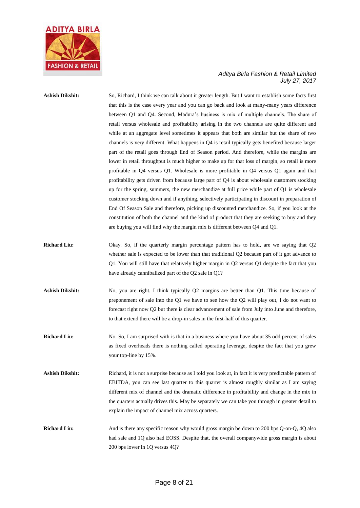

## **Ashish Dikshit:** So, Richard, I think we can talk about it greater length. But I want to establish some facts first that this is the case every year and you can go back and look at many-many years difference between Q1 and Q4. Second, Madura's business is mix of multiple channels. The share of retail versus wholesale and profitability arising in the two channels are quite different and while at an aggregate level sometimes it appears that both are similar but the share of two channels is very different. What happens in Q4 is retail typically gets benefited because larger part of the retail goes through End of Season period. And therefore, while the margins are lower in retail throughput is much higher to make up for that loss of margin, so retail is more profitable in Q4 versus Q1. Wholesale is more profitable in Q4 versus Q1 again and that profitability gets driven from because large part of Q4 is about wholesale customers stocking up for the spring, summers, the new merchandize at full price while part of Q1 is wholesale customer stocking down and if anything, selectively participating in discount in preparation of End Of Season Sale and therefore, picking up discounted merchandize. So, if you look at the constitution of both the channel and the kind of product that they are seeking to buy and they are buying you will find why the margin mix is different between Q4 and Q1.

- **Richard Liu:** Okay. So, if the quarterly margin percentage pattern has to hold, are we saying that Q2 whether sale is expected to be lower than that traditional Q2 because part of it got advance to Q1. You will still have that relatively higher margin in Q2 versus Q1 despite the fact that you have already cannibalized part of the Q2 sale in Q1?
- Ashish Dikshit: No, you are right. I think typically Q2 margins are better than Q1. This time because of preponement of sale into the Q1 we have to see how the Q2 will play out, I do not want to forecast right now Q2 but there is clear advancement of sale from July into June and therefore, to that extend there will be a drop-in sales in the first-half of this quarter.
- **Richard Liu:** No. So, I am surprised with is that in a business where you have about 35 odd percent of sales as fixed overheads there is nothing called operating leverage, despite the fact that you grew your top-line by 15%.
- **Ashish Dikshit:** Richard, it is not a surprise because as I told you look at, in fact it is very predictable pattern of EBITDA, you can see last quarter to this quarter is almost roughly similar as I am saying different mix of channel and the dramatic difference in profitability and change in the mix in the quarters actually drives this. May be separately we can take you through in greater detail to explain the impact of channel mix across quarters.
- **Richard Liu:** And is there any specific reason why would gross margin be down to 200 bps Q-on-Q, 4Q also had sale and 1Q also had EOSS. Despite that, the overall companywide gross margin is about 200 bps lower in 1Q versus 4Q?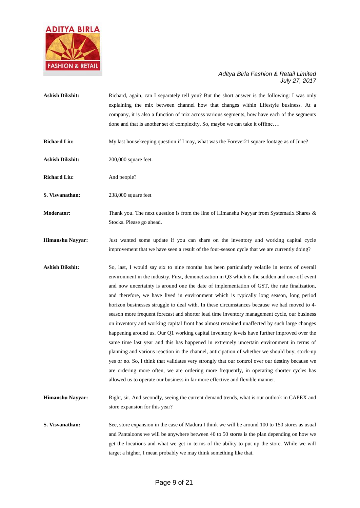

| <b>Ashish Dikshit:</b> | Richard, again, can I separately tell you? But the short answer is the following: I was only<br>explaining the mix between channel how that changes within Lifestyle business. At a<br>company, it is also a function of mix across various segments, how have each of the segments<br>done and that is another set of complexity. So, maybe we can take it offline                                                                                                                                                                                                                                                                                                                                                                                                                                                                                                                                                                                                                                                                                                                                                                                                                |
|------------------------|------------------------------------------------------------------------------------------------------------------------------------------------------------------------------------------------------------------------------------------------------------------------------------------------------------------------------------------------------------------------------------------------------------------------------------------------------------------------------------------------------------------------------------------------------------------------------------------------------------------------------------------------------------------------------------------------------------------------------------------------------------------------------------------------------------------------------------------------------------------------------------------------------------------------------------------------------------------------------------------------------------------------------------------------------------------------------------------------------------------------------------------------------------------------------------|
| <b>Richard Liu:</b>    | My last housekeeping question if I may, what was the Forever21 square footage as of June?                                                                                                                                                                                                                                                                                                                                                                                                                                                                                                                                                                                                                                                                                                                                                                                                                                                                                                                                                                                                                                                                                          |
| <b>Ashish Dikshit:</b> | 200,000 square feet.                                                                                                                                                                                                                                                                                                                                                                                                                                                                                                                                                                                                                                                                                                                                                                                                                                                                                                                                                                                                                                                                                                                                                               |
| <b>Richard Liu:</b>    | And people?                                                                                                                                                                                                                                                                                                                                                                                                                                                                                                                                                                                                                                                                                                                                                                                                                                                                                                                                                                                                                                                                                                                                                                        |
| S. Visvanathan:        | 238,000 square feet                                                                                                                                                                                                                                                                                                                                                                                                                                                                                                                                                                                                                                                                                                                                                                                                                                                                                                                                                                                                                                                                                                                                                                |
| Moderator:             | Thank you. The next question is from the line of Himanshu Nayyar from Systematix Shares $\&$<br>Stocks. Please go ahead.                                                                                                                                                                                                                                                                                                                                                                                                                                                                                                                                                                                                                                                                                                                                                                                                                                                                                                                                                                                                                                                           |
| Himanshu Nayyar:       | Just wanted some update if you can share on the inventory and working capital cycle<br>improvement that we have seen a result of the four-season cycle that we are currently doing?                                                                                                                                                                                                                                                                                                                                                                                                                                                                                                                                                                                                                                                                                                                                                                                                                                                                                                                                                                                                |
| <b>Ashish Dikshit:</b> | So, last, I would say six to nine months has been particularly volatile in terms of overall<br>environment in the industry. First, demonetization in Q3 which is the sudden and one-off event<br>and now uncertainty is around one the date of implementation of GST, the rate finalization,<br>and therefore, we have lived in environment which is typically long season, long period<br>horizon businesses struggle to deal with. In these circumstances because we had moved to 4-<br>season more frequent forecast and shorter lead time inventory management cycle, our business<br>on inventory and working capital front has almost remained unaffected by such large changes<br>happening around us. Our Q1 working capital inventory levels have further improved over the<br>same time last year and this has happened in extremely uncertain environment in terms of<br>planning and various reaction in the channel, anticipation of whether we should buy, stock-up<br>yes or no. So, I think that validates very strongly that our control over our destiny because we<br>are ordering more often, we are ordering more frequently, in operating shorter cycles has |

**Himanshu Nayyar:** Right, sir. And secondly, seeing the current demand trends, what is our outlook in CAPEX and store expansion for this year?

allowed us to operate our business in far more effective and flexible manner.

**S. Visvanathan:** See, store expansion in the case of Madura I think we will be around 100 to 150 stores as usual and Pantaloons we will be anywhere between 40 to 50 stores is the plan depending on how we get the locations and what we get in terms of the ability to put up the store. While we will target a higher, I mean probably we may think something like that.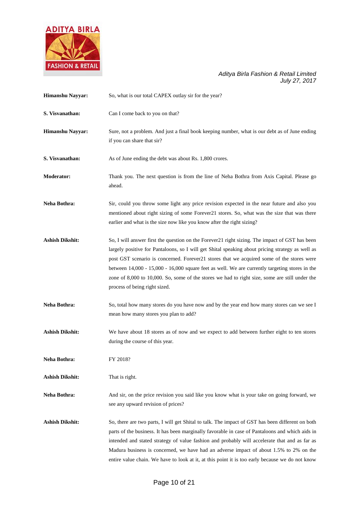

| Himanshu Nayyar:       | So, what is our total CAPEX outlay sir for the year?                                                                                                                                                                                                                                                                                                                                                                                                                                                                                 |
|------------------------|--------------------------------------------------------------------------------------------------------------------------------------------------------------------------------------------------------------------------------------------------------------------------------------------------------------------------------------------------------------------------------------------------------------------------------------------------------------------------------------------------------------------------------------|
| S. Visvanathan:        | Can I come back to you on that?                                                                                                                                                                                                                                                                                                                                                                                                                                                                                                      |
| Himanshu Nayyar:       | Sure, not a problem. And just a final book keeping number, what is our debt as of June ending<br>if you can share that sir?                                                                                                                                                                                                                                                                                                                                                                                                          |
| S. Visvanathan:        | As of June ending the debt was about Rs. 1,800 crores.                                                                                                                                                                                                                                                                                                                                                                                                                                                                               |
| Moderator:             | Thank you. The next question is from the line of Neha Bothra from Axis Capital. Please go<br>ahead.                                                                                                                                                                                                                                                                                                                                                                                                                                  |
| Neha Bothra:           | Sir, could you throw some light any price revision expected in the near future and also you<br>mentioned about right sizing of some Forever21 stores. So, what was the size that was there<br>earlier and what is the size now like you know after the right sizing?                                                                                                                                                                                                                                                                 |
| <b>Ashish Dikshit:</b> | So, I will answer first the question on the Forever21 right sizing. The impact of GST has been<br>largely positive for Pantaloons, so I will get Shital speaking about pricing strategy as well as<br>post GST scenario is concerned. Forever21 stores that we acquired some of the stores were<br>between 14,000 - 15,000 - 16,000 square feet as well. We are currently targeting stores in the<br>zone of 8,000 to 10,000. So, some of the stores we had to right size, some are still under the<br>process of being right sized. |
| Neha Bothra:           | So, total how many stores do you have now and by the year end how many stores can we see I<br>mean how many stores you plan to add?                                                                                                                                                                                                                                                                                                                                                                                                  |
| <b>Ashish Dikshit:</b> | We have about 18 stores as of now and we expect to add between further eight to ten stores<br>during the course of this year.                                                                                                                                                                                                                                                                                                                                                                                                        |
| Neha Bothra:           | FY 2018?                                                                                                                                                                                                                                                                                                                                                                                                                                                                                                                             |
| <b>Ashish Dikshit:</b> | That is right.                                                                                                                                                                                                                                                                                                                                                                                                                                                                                                                       |
| Neha Bothra:           | And sir, on the price revision you said like you know what is your take on going forward, we<br>see any upward revision of prices?                                                                                                                                                                                                                                                                                                                                                                                                   |
| <b>Ashish Dikshit:</b> | So, there are two parts, I will get Shital to talk. The impact of GST has been different on both<br>parts of the business. It has been marginally favorable in case of Pantaloons and which aids in<br>intended and stated strategy of value fashion and probably will accelerate that and as far as<br>Madura business is concerned, we have had an adverse impact of about 1.5% to 2% on the<br>entire value chain. We have to look at it, at this point it is too early because we do not know                                    |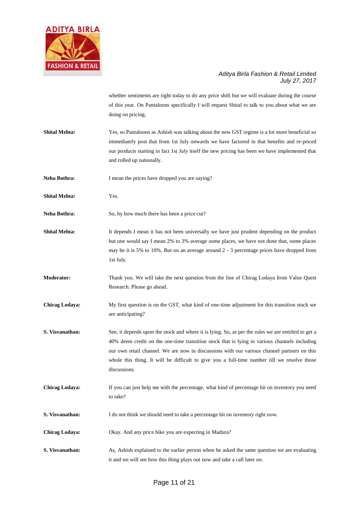

whether sentiments are right today to do any price shift but we will evaluate during the course of this year. On Pantaloons specifically I will request Shital to talk to you about what we are doing on pricing.

- **Shital Mehta:** Yes, so Pantaloons as Ashish was talking about the new GST regime is a lot more beneficial so immediately post that from 1st July onwards we have factored in that benefits and re-priced our products starting in fact 1st July itself the new pricing has been we have implemented that and rolled up nationally.
- **Neha Bothra:** I mean the prices have dropped you are saying?
- **Shital Mehta:** Yes.
- Neha Bothra: So, by how much there has been a price cut?
- **Shital Mehta:** It depends I mean it has not been universally we have just prudent depending on the product but one would say I mean 2% to 3% average some places, we have not done that, some places may be it is 5% to 10%. But on an average around 2 - 3 percentage prices have dropped from 1st July.
- **Moderator:** Thank you. We will take the next question from the line of Chirag Lodaya from Value Quest Research. Please go ahead.
- **Chirag Lodaya:** My first question is on the GST, what kind of one-time adjustment for this transition stock we are anticipating?
- **S. Visvanathan:** See, it depends upon the stock and where it is lying. So, as per the rules we are entitled to get a 40% deem credit on the one-time transition stock that is lying in various channels including our own retail channel. We are now in discussions with our various channel partners on this whole this thing. It will be difficult to give you a full-time number till we resolve those discussions.
- **Chirag Lodaya:** If you can just help me with the percentage, what kind of percentage hit on inventory you need to take?
- **S. Visvanathan:** I do not think we should need to take a percentage hit on inventory right now.
- **Chirag Lodaya:** Okay. And any price hike you are expecting in Madura?
- **S. Visvanathan:** As, Ashish explained to the earlier person when he asked the same question we are evaluating it and we will see how this thing plays out now and take a call later on.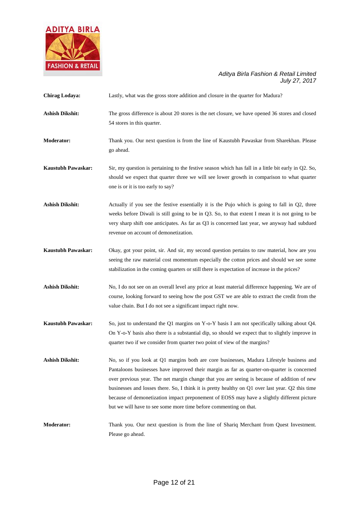

| Chirag Lodaya:            | Lastly, what was the gross store addition and closure in the quarter for Madura?                                                                                                                                                                                                                                                                                                                                                                                                                                                                             |
|---------------------------|--------------------------------------------------------------------------------------------------------------------------------------------------------------------------------------------------------------------------------------------------------------------------------------------------------------------------------------------------------------------------------------------------------------------------------------------------------------------------------------------------------------------------------------------------------------|
| <b>Ashish Dikshit:</b>    | The gross difference is about 20 stores is the net closure, we have opened 36 stores and closed<br>54 stores in this quarter.                                                                                                                                                                                                                                                                                                                                                                                                                                |
| <b>Moderator:</b>         | Thank you. Our next question is from the line of Kaustubh Pawaskar from Sharekhan. Please<br>go ahead.                                                                                                                                                                                                                                                                                                                                                                                                                                                       |
| <b>Kaustubh Pawaskar:</b> | Sir, my question is pertaining to the festive season which has fall in a little bit early in Q2. So,<br>should we expect that quarter three we will see lower growth in comparison to what quarter<br>one is or it is too early to say?                                                                                                                                                                                                                                                                                                                      |
| <b>Ashish Dikshit:</b>    | Actually if you see the festive essentially it is the Pujo which is going to fall in Q2, three<br>weeks before Diwali is still going to be in Q3. So, to that extent I mean it is not going to be<br>very sharp shift one anticipates. As far as Q3 is concerned last year, we anyway had subdued<br>revenue on account of demonetization.                                                                                                                                                                                                                   |
| <b>Kaustubh Pawaskar:</b> | Okay, got your point, sir. And sir, my second question pertains to raw material, how are you<br>seeing the raw material cost momentum especially the cotton prices and should we see some<br>stabilization in the coming quarters or still there is expectation of increase in the prices?                                                                                                                                                                                                                                                                   |
| <b>Ashish Dikshit:</b>    | No, I do not see on an overall level any price at least material difference happening. We are of<br>course, looking forward to seeing how the post GST we are able to extract the credit from the<br>value chain. But I do not see a significant impact right now.                                                                                                                                                                                                                                                                                           |
| <b>Kaustubh Pawaskar:</b> | So, just to understand the Q1 margins on Y-o-Y basis I am not specifically talking about Q4.<br>On Y-o-Y basis also there is a substantial dip, so should we expect that to slightly improve in<br>quarter two if we consider from quarter two point of view of the margins?                                                                                                                                                                                                                                                                                 |
| <b>Ashish Dikshit:</b>    | No, so if you look at Q1 margins both are core businesses, Madura Lifestyle business and<br>Pantaloons businesses have improved their margin as far as quarter-on-quarter is concerned<br>over previous year. The net margin change that you are seeing is because of addition of new<br>businesses and losses there. So, I think it is pretty healthy on Q1 over last year. Q2 this time<br>because of demonetization impact preponement of EOSS may have a slightly different picture<br>but we will have to see some more time before commenting on that. |
| <b>Moderator:</b>         | Thank you. Our next question is from the line of Shariq Merchant from Quest Investment.<br>Please go ahead.                                                                                                                                                                                                                                                                                                                                                                                                                                                  |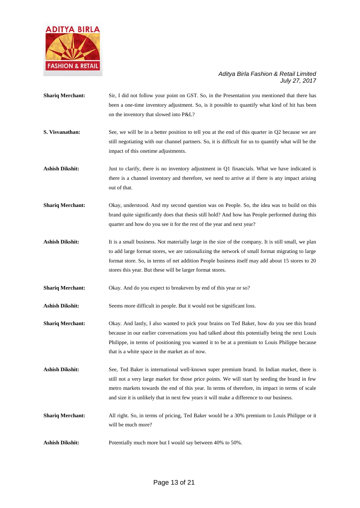

| <b>Shariq Merchant:</b> | Sir, I did not follow your point on GST. So, in the Presentation you mentioned that there has<br>been a one-time inventory adjustment. So, is it possible to quantify what kind of hit has been<br>on the inventory that slowed into P&L?                                                                                                                                                     |
|-------------------------|-----------------------------------------------------------------------------------------------------------------------------------------------------------------------------------------------------------------------------------------------------------------------------------------------------------------------------------------------------------------------------------------------|
| S. Visvanathan:         | See, we will be in a better position to tell you at the end of this quarter in Q2 because we are<br>still negotiating with our channel partners. So, it is difficult for us to quantify what will be the<br>impact of this onetime adjustments.                                                                                                                                               |
| <b>Ashish Dikshit:</b>  | Just to clarify, there is no inventory adjustment in Q1 financials. What we have indicated is<br>there is a channel inventory and therefore, we need to arrive at if there is any impact arising<br>out of that.                                                                                                                                                                              |
| <b>Shariq Merchant:</b> | Okay, understood. And my second question was on People. So, the idea was to build on this<br>brand quite significantly does that thesis still hold? And how has People performed during this<br>quarter and how do you see it for the rest of the year and next year?                                                                                                                         |
| <b>Ashish Dikshit:</b>  | It is a small business. Not materially large in the size of the company. It is still small, we plan<br>to add large format stores, we are rationalizing the network of small format migrating to large<br>format store. So, in terms of net addition People business itself may add about 15 stores to 20<br>stores this year. But these will be larger format stores.                        |
| <b>Shariq Merchant:</b> | Okay. And do you expect to breakeven by end of this year or so?                                                                                                                                                                                                                                                                                                                               |
| <b>Ashish Dikshit:</b>  | Seems more difficult in people. But it would not be significant loss.                                                                                                                                                                                                                                                                                                                         |
| <b>Shariq Merchant:</b> | Okay. And lastly, I also wanted to pick your brains on Ted Baker, how do you see this brand<br>because in our earlier conversations you had talked about this potentially being the next Louis<br>Philippe, in terms of positioning you wanted it to be at a premium to Louis Philippe because<br>that is a white space in the market as of now.                                              |
| Ashish Dikshit:         | See, Ted Baker is international well-known super premium brand. In Indian market, there is<br>still not a very large market for those price points. We will start by seeding the brand in few<br>metro markets towards the end of this year. In terms of therefore, its impact in terms of scale<br>and size it is unlikely that in next few years it will make a difference to our business. |
| <b>Shariq Merchant:</b> | All right. So, in terms of pricing, Ted Baker would be a 30% premium to Louis Philippe or it<br>will be much more?                                                                                                                                                                                                                                                                            |

Ashish Dikshit: Potentially much more but I would say between 40% to 50%.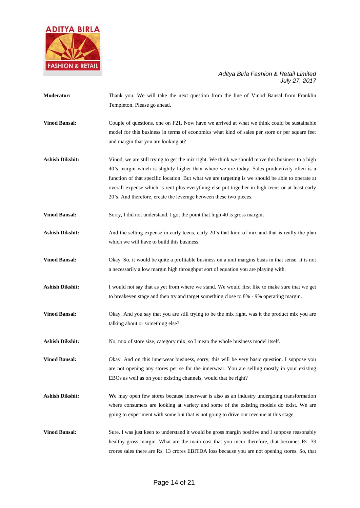

**Moderator:** Thank you. We will take the next question from the line of Vinod Bansal from Franklin Templeton. Please go ahead. **Vinod Bansal:** Couple of questions, one on F21. Now have we arrived at what we think could be sustainable model for this business in terms of economics what kind of sales per store or per square feet and margin that you are looking at? **Ashish Dikshit:** Vinod, we are still trying to get the mix right. We think we should move this business to a high 40's margin which is slightly higher than where we are today. Sales productivity often is a function of that specific location. But what we are targeting is we should be able to operate at overall expense which is rent plus everything else put together in high teens or at least early 20's. And therefore, create the leverage between these two pieces. **Vinod Bansal:** Sorry, I did not understand. I got the point that high 40 is gross margin. Ashish Dikshit: And the selling expense in early teens, early 20's that kind of mix and that is really the plan which we will have to build this business. **Vinod Bansal:** Okay. So, it would be quite a profitable business on a unit margins basis in that sense. It is not a necessarily a low margin high throughput sort of equation you are playing with. Ashish Dikshit: I would not say that as yet from where we stand. We would first like to make sure that we get to breakeven stage and then try and target something close to 8% - 9% operating margin. **Vinod Bansal:** Okay. And you say that you are still trying to be the mix right, was it the product mix you are talking about or something else? **Ashish Dikshit:** No, mix of store size, category mix, so I mean the whole business model itself. **Vinod Bansal:** Okay. And on this innerwear business, sorry, this will be very basic question. I suppose you are not opening any stores per se for the innerwear. You are selling mostly in your existing EBOs as well as on your existing channels, would that be right? **Ashish Dikshit: W**e may open few stores because innerwear is also as an industry undergoing transformation where consumers are looking at variety and some of the existing models do exist. We are going to experiment with some but that is not going to drive our revenue at this stage. **Vinod Bansal:** Sure. I was just keen to understand it would be gross margin positive and I suppose reasonably healthy gross margin. What are the main cost that you incur therefore, that becomes Rs. 39 crores sales there are Rs. 13 crores EBITDA loss because you are not opening stores. So, that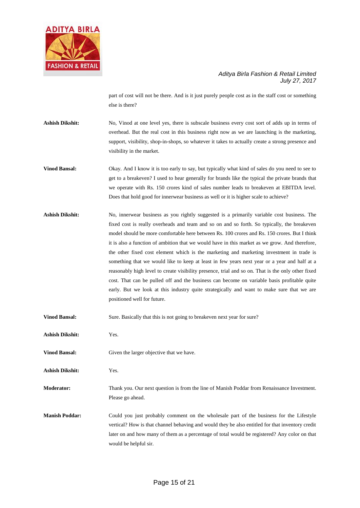

part of cost will not be there. And is it just purely people cost as in the staff cost or something else is there?

Ashish Dikshit: No, Vinod at one level yes, there is subscale business every cost sort of adds up in terms of overhead. But the real cost in this business right now as we are launching is the marketing, support, visibility, shop-in-shops, so whatever it takes to actually create a strong presence and visibility in the market.

- **Vinod Bansal:** Okay. And I know it is too early to say, but typically what kind of sales do you need to see to get to a breakeven? I used to hear generally for brands like the typical the private brands that we operate with Rs. 150 crores kind of sales number leads to breakeven at EBITDA level. Does that hold good for innerwear business as well or it is higher scale to achieve?
- **Ashish Dikshit:** No, innerwear business as you rightly suggested is a primarily variable cost business. The fixed cost is really overheads and team and so on and so forth. So typically, the breakeven model should be more comfortable here between Rs. 100 crores and Rs. 150 crores. But I think it is also a function of ambition that we would have in this market as we grow. And therefore, the other fixed cost element which is the marketing and marketing investment in trade is something that we would like to keep at least in few years next year or a year and half at a reasonably high level to create visibility presence, trial and so on. That is the only other fixed cost. That can be pulled off and the business can become on variable basis profitable quite early. But we look at this industry quite strategically and want to make sure that we are positioned well for future.
- **Vinod Bansal:** Sure. Basically that this is not going to breakeven next year for sure?
- **Ashish Dikshit:** Yes.
- **Vinod Bansal:** Given the larger objective that we have.
- **Ashish Dikshit:** Yes.

**Moderator:** Thank you. Our next question is from the line of Manish Poddar from Renaissance Investment. Please go ahead.

**Manish Poddar:** Could you just probably comment on the wholesale part of the business for the Lifestyle vertical? How is that channel behaving and would they be also entitled for that inventory credit later on and how many of them as a percentage of total would be registered? Any color on that would be helpful sir.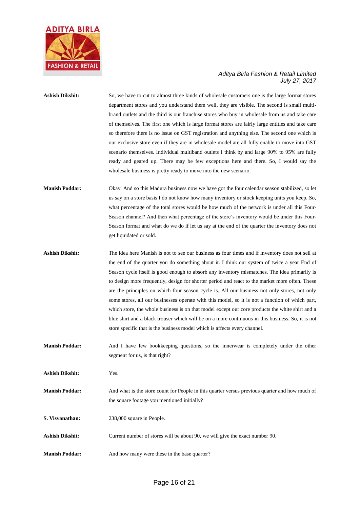

## Ashish Dikshit: So, we have to cut to almost three kinds of wholesale customers one is the large format stores department stores and you understand them well, they are visible. The second is small multibrand outlets and the third is our franchise stores who buy in wholesale from us and take care of themselves. The first one which is large format stores are fairly large entities and take care so therefore there is no issue on GST registration and anything else. The second one which is our exclusive store even if they are in wholesale model are all fully enable to move into GST scenario themselves. Individual multiband outlets I think by and large 90% to 95% are fully ready and geared up. There may be few exceptions here and there. So, I would say the wholesale business is pretty ready to move into the new scenario.

### **Manish Poddar:** Okay. And so this Madura business now we have got the four calendar season stabilized, so let us say on a store basis I do not know how many inventory or stock keeping units you keep. So, what percentage of the total stores would be how much of the network is under all this Four-Season channel? And then what percentage of the store's inventory would be under this Four-Season format and what do we do if let us say at the end of the quarter the inventory does not get liquidated or sold.

- **Ashish Dikshit:** The idea here Manish is not to see our business as four times and if inventory does not sell at the end of the quarter you do something about it. I think our system of twice a year End of Season cycle itself is good enough to absorb any inventory mismatches. The idea primarily is to design more frequently, design for shorter period and react to the market more often. These are the principles on which four season cycle is. All our business not only stores, not only some stores, all our businesses operate with this model, so it is not a function of which part, which store, the whole business is on that model except our core products the white shirt and a blue shirt and a black trouser which will be on a more continuous in this business**.** So, it is not store specific that is the business model which is affects every channel.
- **Manish Poddar:** And I have few bookkeeping questions, so the innerwear is completely under the other segment for us, is that right?

**Ashish Dikshit:** Yes.

- **Manish Poddar:** And what is the store count for People in this quarter versus previous quarter and how much of the square footage you mentioned initially?
- **S. Visvanathan:** 238,000 square in People.
- **Ashish Dikshit:** Current number of stores will be about 90, we will give the exact number 90.
- **Manish Poddar:** And how many were these in the base quarter?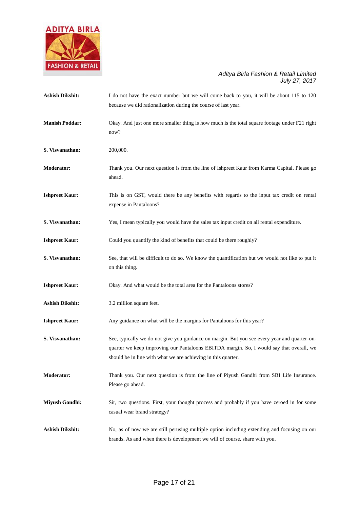

| <b>Ashish Dikshit:</b> | I do not have the exact number but we will come back to you, it will be about 115 to 120<br>because we did rationalization during the course of last year.                                                                                                |
|------------------------|-----------------------------------------------------------------------------------------------------------------------------------------------------------------------------------------------------------------------------------------------------------|
| <b>Manish Poddar:</b>  | Okay. And just one more smaller thing is how much is the total square footage under F21 right<br>now?                                                                                                                                                     |
| S. Visvanathan:        | 200,000.                                                                                                                                                                                                                                                  |
| <b>Moderator:</b>      | Thank you. Our next question is from the line of Ishpreet Kaur from Karma Capital. Please go<br>ahead.                                                                                                                                                    |
| <b>Ishpreet Kaur:</b>  | This is on GST, would there be any benefits with regards to the input tax credit on rental<br>expense in Pantaloons?                                                                                                                                      |
| S. Visvanathan:        | Yes, I mean typically you would have the sales tax input credit on all rental expenditure.                                                                                                                                                                |
| <b>Ishpreet Kaur:</b>  | Could you quantify the kind of benefits that could be there roughly?                                                                                                                                                                                      |
| S. Visvanathan:        | See, that will be difficult to do so. We know the quantification but we would not like to put it<br>on this thing.                                                                                                                                        |
| <b>Ishpreet Kaur:</b>  | Okay. And what would be the total area for the Pantaloons stores?                                                                                                                                                                                         |
| <b>Ashish Dikshit:</b> | 3.2 million square feet.                                                                                                                                                                                                                                  |
| <b>Ishpreet Kaur:</b>  | Any guidance on what will be the margins for Pantaloons for this year?                                                                                                                                                                                    |
| S. Visvanathan:        | See, typically we do not give you guidance on margin. But you see every year and quarter-on-<br>quarter we keep improving our Pantaloons EBITDA margin. So, I would say that overall, we<br>should be in line with what we are achieving in this quarter. |
| <b>Moderator:</b>      | Thank you. Our next question is from the line of Piyush Gandhi from SBI Life Insurance.<br>Please go ahead.                                                                                                                                               |
| <b>Miyush Gandhi:</b>  | Sir, two questions. First, your thought process and probably if you have zeroed in for some<br>casual wear brand strategy?                                                                                                                                |
| <b>Ashish Dikshit:</b> | No, as of now we are still perusing multiple option including extending and focusing on our<br>brands. As and when there is development we will of course, share with you.                                                                                |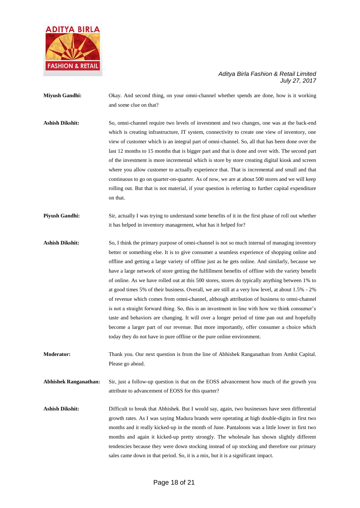

- **Miyush Gandhi:** Okay. And second thing, on your omni-channel whether spends are done, how is it working and some clue on that?
- **Ashish Dikshit:** So, omni-channel require two levels of investment and two changes, one was at the back-end which is creating infrastructure, IT system, connectivity to create one view of inventory, one view of customer which is an integral part of omni-channel. So, all that has been done over the last 12 months to 15 months that is bigger part and that is done and over with. The second part of the investment is more incremental which is store by store creating digital kiosk and screen where you allow customer to actually experience that. That is incremental and small and that continuous to go on quarter-on-quarter. As of now, we are at about 500 stores and we will keep rolling out. But that is not material, if your question is referring to further capital expenditure on that.
- **Piyush Gandhi:** Sir, actually I was trying to understand some benefits of it in the first phase of roll out whether it has helped in inventory management, what has it helped for?
- **Ashish Dikshit:** So, I think the primary purpose of omni-channel is not so much internal of managing inventory better or something else. It is to give consumer a seamless experience of shopping online and offline and getting a large variety of offline just as he gets online. And similarly, because we have a large network of store getting the fulfillment benefits of offline with the variety benefit of online. As we have rolled out at this 500 stores, stores do typically anything between 1% to at good times 5% of their business. Overall, we are still at a very low level, at about 1.5% - 2% of revenue which comes from omni-channel, although attribution of business to omni-channel is not a straight forward thing. So, this is an investment in line with how we think consumer's taste and behaviors are changing. It will over a longer period of time pan out and hopefully become a larger part of our revenue. But more importantly, offer consumer a choice which today they do not have in pure offline or the pure online environment.
- **Moderator:** Thank you. Our next question is from the line of Abhishek Ranganathan from Ambit Capital. Please go ahead.

**Abhishek Ranganathan:** Sir, just a follow-up question is that on the EOSS advancement how much of the growth you attribute to advancement of EOSS for this quarter?

**Ashish Dikshit:** Difficult to break that Abhishek. But I would say, again, two businesses have seen differential growth rates. As I was saying Madura brands were operating at high double-digits in first two months and it really kicked-up in the month of June. Pantaloons was a little lower in first two months and again it kicked-up pretty strongly. The wholesale has shown slightly different tendencies because they were down stocking instead of up stocking and therefore our primary sales came down in that period. So, it is a mix, but it is a significant impact.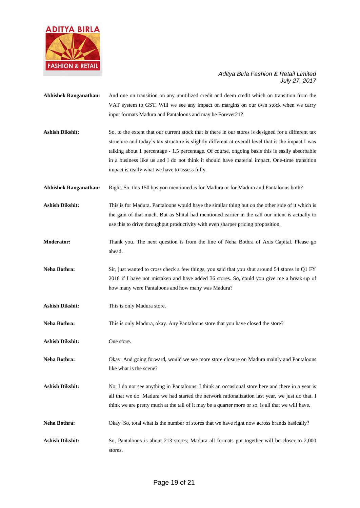

| <b>Abhishek Ranganathan:</b> | And one on transition on any unutilized credit and deem credit which on transition from the<br>VAT system to GST. Will we see any impact on margins on our own stock when we carry<br>input formats Madura and Pantaloons and may be Forever21?                                                                                                                                                                                                                  |
|------------------------------|------------------------------------------------------------------------------------------------------------------------------------------------------------------------------------------------------------------------------------------------------------------------------------------------------------------------------------------------------------------------------------------------------------------------------------------------------------------|
| <b>Ashish Dikshit:</b>       | So, to the extent that our current stock that is there in our stores is designed for a different tax<br>structure and today's tax structure is slightly different at overall level that is the impact I was<br>talking about 1 percentage - 1.5 percentage. Of course, ongoing basis this is easily absorbable<br>in a business like us and I do not think it should have material impact. One-time transition<br>impact is really what we have to assess fully. |
| <b>Abhishek Ranganathan:</b> | Right. So, this 150 bps you mentioned is for Madura or for Madura and Pantaloons both?                                                                                                                                                                                                                                                                                                                                                                           |
| <b>Ashish Dikshit:</b>       | This is for Madura. Pantaloons would have the similar thing but on the other side of it which is<br>the gain of that much. But as Shital had mentioned earlier in the call our intent is actually to<br>use this to drive throughput productivity with even sharper pricing proposition.                                                                                                                                                                         |
| <b>Moderator:</b>            | Thank you. The next question is from the line of Neha Bothra of Axis Capital. Please go<br>ahead.                                                                                                                                                                                                                                                                                                                                                                |
| Neha Bothra:                 | Sir, just wanted to cross check a few things, you said that you shut around 54 stores in Q1 FY<br>2018 if I have not mistaken and have added 36 stores. So, could you give me a break-up of<br>how many were Pantaloons and how many was Madura?                                                                                                                                                                                                                 |
| <b>Ashish Dikshit:</b>       | This is only Madura store.                                                                                                                                                                                                                                                                                                                                                                                                                                       |
| Neha Bothra:                 | This is only Madura, okay. Any Pantaloons store that you have closed the store?                                                                                                                                                                                                                                                                                                                                                                                  |
| <b>Ashish Dikshit:</b>       | One store.                                                                                                                                                                                                                                                                                                                                                                                                                                                       |
| Neha Bothra:                 | Okay. And going forward, would we see more store closure on Madura mainly and Pantaloons<br>like what is the scene?                                                                                                                                                                                                                                                                                                                                              |
| <b>Ashish Dikshit:</b>       | No, I do not see anything in Pantaloons. I think an occasional store here and there in a year is<br>all that we do. Madura we had started the network rationalization last year, we just do that. I<br>think we are pretty much at the tail of it may be a quarter more or so, is all that we will have.                                                                                                                                                         |
| Neha Bothra:                 | Okay. So, total what is the number of stores that we have right now across brands basically?                                                                                                                                                                                                                                                                                                                                                                     |
| <b>Ashish Dikshit:</b>       | So, Pantaloons is about 213 stores; Madura all formats put together will be closer to 2,000                                                                                                                                                                                                                                                                                                                                                                      |

stores.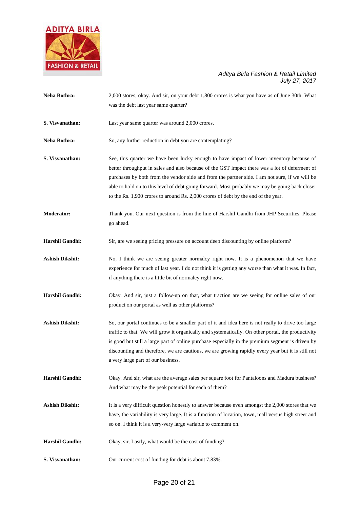

| Neha Bothra:           | 2,000 stores, okay. And sir, on your debt 1,800 crores is what you have as of June 30th. What<br>was the debt last year same quarter?                                                                                                                                                                                                                                                                                                                                               |
|------------------------|-------------------------------------------------------------------------------------------------------------------------------------------------------------------------------------------------------------------------------------------------------------------------------------------------------------------------------------------------------------------------------------------------------------------------------------------------------------------------------------|
| S. Visvanathan:        | Last year same quarter was around 2,000 crores.                                                                                                                                                                                                                                                                                                                                                                                                                                     |
| Neha Bothra:           | So, any further reduction in debt you are contemplating?                                                                                                                                                                                                                                                                                                                                                                                                                            |
| S. Visvanathan:        | See, this quarter we have been lucky enough to have impact of lower inventory because of<br>better throughput in sales and also because of the GST impact there was a lot of deferment of<br>purchases by both from the vendor side and from the partner side. I am not sure, if we will be<br>able to hold on to this level of debt going forward. Most probably we may be going back closer<br>to the Rs. 1,900 crores to around Rs. 2,000 crores of debt by the end of the year. |
| <b>Moderator:</b>      | Thank you. Our next question is from the line of Harshil Gandhi from JHP Securities. Please<br>go ahead.                                                                                                                                                                                                                                                                                                                                                                            |
| <b>Harshil Gandhi:</b> | Sir, are we seeing pricing pressure on account deep discounting by online platform?                                                                                                                                                                                                                                                                                                                                                                                                 |
| <b>Ashish Dikshit:</b> | No, I think we are seeing greater normalcy right now. It is a phenomenon that we have<br>experience for much of last year. I do not think it is getting any worse than what it was. In fact,<br>if anything there is a little bit of normalcy right now.                                                                                                                                                                                                                            |
| <b>Harshil Gandhi:</b> | Okay. And sir, just a follow-up on that, what traction are we seeing for online sales of our<br>product on our portal as well as other platforms?                                                                                                                                                                                                                                                                                                                                   |
| <b>Ashish Dikshit:</b> | So, our portal continues to be a smaller part of it and idea here is not really to drive too large<br>traffic to that. We will grow it organically and systematically. On other portal, the productivity<br>is good but still a large part of online purchase especially in the premium segment is driven by<br>discounting and therefore, we are cautious, we are growing rapidly every year but it is still not<br>a very large part of our business.                             |
| Harshil Gandhi:        | Okay. And sir, what are the average sales per square foot for Pantaloons and Madura business?<br>And what may be the peak potential for each of them?                                                                                                                                                                                                                                                                                                                               |
| <b>Ashish Dikshit:</b> | It is a very difficult question honestly to answer because even amongst the 2,000 stores that we<br>have, the variability is very large. It is a function of location, town, mall versus high street and<br>so on. I think it is a very-very large variable to comment on.                                                                                                                                                                                                          |
| <b>Harshil Gandhi:</b> | Okay, sir. Lastly, what would be the cost of funding?                                                                                                                                                                                                                                                                                                                                                                                                                               |
| S. Visvanathan:        | Our current cost of funding for debt is about 7.83%.                                                                                                                                                                                                                                                                                                                                                                                                                                |